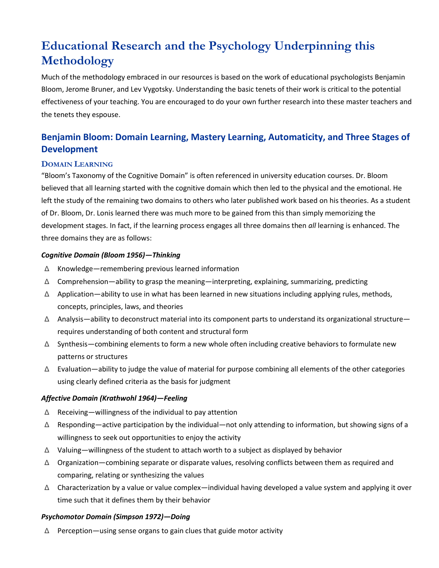# **Educational Research and the Psychology Underpinning this Methodology**

Much of the methodology embraced in our resources is based on the work of educational psychologists Benjamin Bloom, Jerome Bruner, and Lev Vygotsky. Understanding the basic tenets of their work is critical to the potential effectiveness of your teaching. You are encouraged to do your own further research into these master teachers and the tenets they espouse.

# **Benjamin Bloom: Domain Learning, Mastery Learning, Automaticity, and Three Stages of Development**

# **DOMAIN LEARNING**

"Bloom's Taxonomy of the Cognitive Domain" is often referenced in university education courses. Dr. Bloom believed that all learning started with the cognitive domain which then led to the physical and the emotional. He left the study of the remaining two domains to others who later published work based on his theories. As a student of Dr. Bloom, Dr. Lonis learned there was much more to be gained from this than simply memorizing the development stages. In fact, if the learning process engages all three domains then *all* learning is enhanced. The three domains they are as follows:

### *Cognitive Domain (Bloom 1956)—Thinking*

- Δ Knowledge—remembering previous learned information
- Δ Comprehension—ability to grasp the meaning—interpreting, explaining, summarizing, predicting
- Δ Application—ability to use in what has been learned in new situations including applying rules, methods, concepts, principles, laws, and theories
- Δ Analysis—ability to deconstruct material into its component parts to understand its organizational structure requires understanding of both content and structural form
- Δ Synthesis—combining elements to form a new whole often including creative behaviors to formulate new patterns or structures
- Δ Evaluation—ability to judge the value of material for purpose combining all elements of the other categories using clearly defined criteria as the basis for judgment

# *Affective Domain (Krathwohl 1964)—Feeling*

- Δ Receiving—willingness of the individual to pay attention
- Δ Responding—active participation by the individual—not only attending to information, but showing signs of a willingness to seek out opportunities to enjoy the activity
- Δ Valuing—willingness of the student to attach worth to a subject as displayed by behavior
- Δ Organization—combining separate or disparate values, resolving conflicts between them as required and comparing, relating or synthesizing the values
- Δ Characterization by a value or value complex—individual having developed a value system and applying it over time such that it defines them by their behavior

# *Psychomotor Domain (Simpson 1972)—Doing*

Δ Perception—using sense organs to gain clues that guide motor activity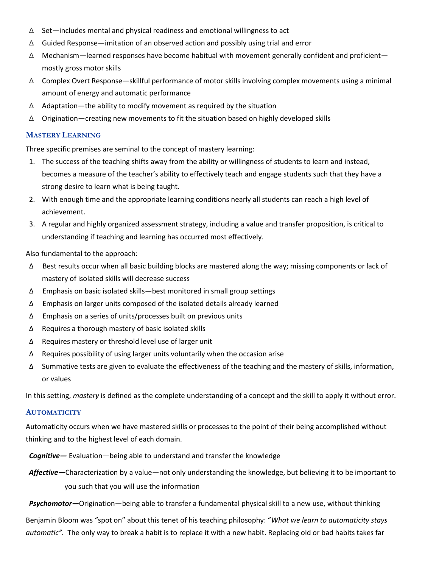- Δ Set—includes mental and physical readiness and emotional willingness to act
- Δ Guided Response—imitation of an observed action and possibly using trial and error
- Δ Mechanism—learned responses have become habitual with movement generally confident and proficient mostly gross motor skills
- Δ Complex Overt Response—skillful performance of motor skills involving complex movements using a minimal amount of energy and automatic performance
- Δ Adaptation—the ability to modify movement as required by the situation
- Δ Origination—creating new movements to fit the situation based on highly developed skills

#### **MASTERY LEARNING**

Three specific premises are seminal to the concept of mastery learning:

- 1. The success of the teaching shifts away from the ability or willingness of students to learn and instead, becomes a measure of the teacher's ability to effectively teach and engage students such that they have a strong desire to learn what is being taught.
- 2. With enough time and the appropriate learning conditions nearly all students can reach a high level of achievement.
- 3. A regular and highly organized assessment strategy, including a value and transfer proposition, is critical to understanding if teaching and learning has occurred most effectively.

Also fundamental to the approach:

- ∆ Best results occur when all basic building blocks are mastered along the way; missing components or lack of mastery of isolated skills will decrease success
- ∆ Emphasis on basic isolated skills—best monitored in small group settings
- ∆ Emphasis on larger units composed of the isolated details already learned
- ∆ Emphasis on a series of units/processes built on previous units
- ∆ Requires a thorough mastery of basic isolated skills
- ∆ Requires mastery or threshold level use of larger unit
- ∆ Requires possibility of using larger units voluntarily when the occasion arise
- ∆ Summative tests are given to evaluate the effectiveness of the teaching and the mastery of skills, information, or values

In this setting, *mastery* is defined as the complete understanding of a concept and the skill to apply it without error.

#### **AUTOMATICITY**

Automaticity occurs when we have mastered skills or processes to the point of their being accomplished without thinking and to the highest level of each domain.

*Cognitive—* Evaluation—being able to understand and transfer the knowledge

*Affective—*Characterization by a value—not only understanding the knowledge, but believing it to be important to you such that you will use the information

*Psychomotor—*Origination—being able to transfer a fundamental physical skill to a new use, without thinking

Benjamin Bloom was "spot on" about this tenet of his teaching philosophy: "*What we learn to automaticity stays automatic".* The only way to break a habit is to replace it with a new habit. Replacing old or bad habits takes far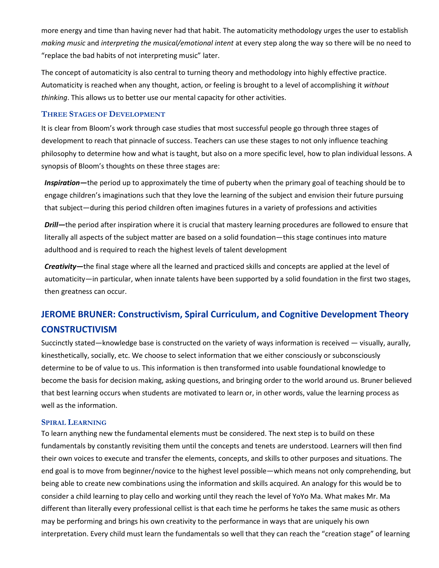more energy and time than having never had that habit. The automaticity methodology urges the user to establish *making music* and *interpreting the musical/emotional intent* at every step along the way so there will be no need to "replace the bad habits of not interpreting music" later.

The concept of automaticity is also central to turning theory and methodology into highly effective practice. Automaticity is reached when any thought, action, or feeling is brought to a level of accomplishing it *without thinking*. This allows us to better use our mental capacity for other activities.

### **THREE STAGES OF DEVELOPMENT**

It is clear from Bloom's work through case studies that most successful people go through three stages of development to reach that pinnacle of success. Teachers can use these stages to not only influence teaching philosophy to determine how and what is taught, but also on a more specific level, how to plan individual lessons. A synopsis of Bloom's thoughts on these three stages are:

*Inspiration—*the period up to approximately the time of puberty when the primary goal of teaching should be to engage children's imaginations such that they love the learning of the subject and envision their future pursuing that subject—during this period children often imagines futures in a variety of professions and activities

*Drill—*the period after inspiration where it is crucial that mastery learning procedures are followed to ensure that literally all aspects of the subject matter are based on a solid foundation—this stage continues into mature adulthood and is required to reach the highest levels of talent development

*Creativity—*the final stage where all the learned and practiced skills and concepts are applied at the level of automaticity—in particular, when innate talents have been supported by a solid foundation in the first two stages, then greatness can occur.

# **JEROME BRUNER: Constructivism, Spiral Curriculum, and Cognitive Development Theory CONSTRUCTIVISM**

Succinctly stated—knowledge base is constructed on the variety of ways information is received — visually, aurally, kinesthetically, socially, etc. We choose to select information that we either consciously or subconsciously determine to be of value to us. This information is then transformed into usable foundational knowledge to become the basis for decision making, asking questions, and bringing order to the world around us. Bruner believed that best learning occurs when students are motivated to learn or, in other words, value the learning process as well as the information.

#### **SPIRAL LEARNING**

To learn anything new the fundamental elements must be considered. The next step is to build on these fundamentals by constantly revisiting them until the concepts and tenets are understood. Learners will then find their own voices to execute and transfer the elements, concepts, and skills to other purposes and situations. The end goal is to move from beginner/novice to the highest level possible—which means not only comprehending, but being able to create new combinations using the information and skills acquired. An analogy for this would be to consider a child learning to play cello and working until they reach the level of YoYo Ma. What makes Mr. Ma different than literally every professional cellist is that each time he performs he takes the same music as others may be performing and brings his own creativity to the performance in ways that are uniquely his own interpretation. Every child must learn the fundamentals so well that they can reach the "creation stage" of learning